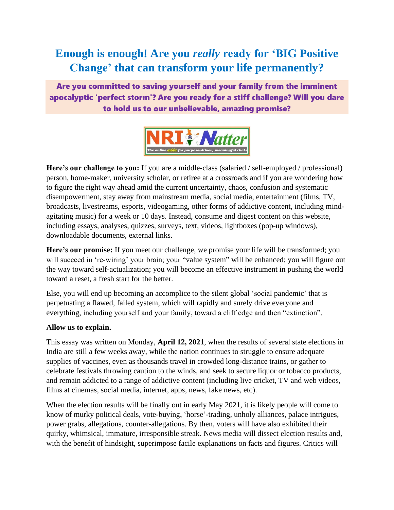# **Enough is enough! Are you** *really* **ready for 'BIG Positive Change' that can transform your life permanently?**

Are you committed to saving yourself and your family from the imminent apocalyptic 'perfect storm'? Are you ready for a stiff challenge? Will you dare to hold us to our unbelievable, amazing promise?



**Here's our challenge to you:** If you are a middle-class (salaried / self-employed / professional) person, home-maker, university scholar, or retiree at a crossroads and if you are wondering how to figure the right way ahead amid the current uncertainty, chaos, confusion and systematic disempowerment, stay away from mainstream media, social media, entertainment (films, TV, broadcasts, livestreams, esports, videogaming, other forms of addictive content, including mindagitating music) for a week or 10 days. Instead, consume and digest content on this website, including essays, analyses, quizzes, surveys, text, videos, lightboxes (pop-up windows), downloadable documents, external links.

**Here's our promise:** If you meet our challenge, we promise your life will be transformed; you will succeed in 're-wiring' your brain; your "value system" will be enhanced; you will figure out the way toward self-actualization; you will become an effective instrument in pushing the world toward a reset, a fresh start for the better.

Else, you will end up becoming an accomplice to the silent global 'social pandemic' that is perpetuating a flawed, failed system, which will rapidly and surely drive everyone and everything, including yourself and your family, toward a cliff edge and then "extinction".

## **Allow us to explain.**

This essay was written on Monday, **April 12, 2021**, when the results of several state elections in India are still a few weeks away, while the nation continues to struggle to ensure adequate supplies of vaccines, even as thousands travel in crowded long-distance trains, or gather to celebrate festivals throwing caution to the winds, and seek to secure liquor or tobacco products, and remain addicted to a range of addictive content (including live cricket, TV and web videos, films at cinemas, social media, internet, apps, news, fake news, etc).

When the election results will be finally out in early May 2021, it is likely people will come to know of murky political deals, vote-buying, 'horse'-trading, unholy alliances, palace intrigues, power grabs, allegations, counter-allegations. By then, voters will have also exhibited their quirky, whimsical, immature, irresponsible streak. News media will dissect election results and, with the benefit of hindsight, superimpose facile explanations on facts and figures. Critics will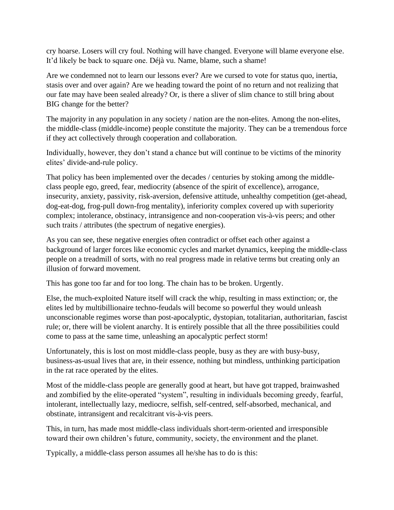cry hoarse. Losers will cry foul. Nothing will have changed. Everyone will blame everyone else. It'd likely be back to square one. Déjà vu. Name, blame, such a shame!

Are we condemned not to learn our lessons ever? Are we cursed to vote for status quo, inertia, stasis over and over again? Are we heading toward the point of no return and not realizing that our fate may have been sealed already? Or, is there a sliver of slim chance to still bring about BIG change for the better?

The majority in any population in any society / nation are the non-elites. Among the non-elites, the middle-class (middle-income) people constitute the majority. They can be a tremendous force if they act collectively through cooperation and collaboration.

Individually, however, they don't stand a chance but will continue to be victims of the minority elites' divide-and-rule policy.

That policy has been implemented over the decades / centuries by stoking among the middleclass people ego, greed, fear, mediocrity (absence of the spirit of excellence), arrogance, insecurity, anxiety, passivity, risk-aversion, defensive attitude, unhealthy competition (get-ahead, dog-eat-dog, frog-pull down-frog mentality), inferiority complex covered up with superiority complex; intolerance, obstinacy, intransigence and non-cooperation vis-à-vis peers; and other such traits / attributes (the spectrum of negative energies).

As you can see, these negative energies often contradict or offset each other against a background of larger forces like economic cycles and market dynamics, keeping the middle-class people on a treadmill of sorts, with no real progress made in relative terms but creating only an illusion of forward movement.

This has gone too far and for too long. The chain has to be broken. Urgently.

Else, the much-exploited Nature itself will crack the whip, resulting in mass extinction; or, the elites led by multibillionaire techno-feudals will become so powerful they would unleash unconscionable regimes worse than post-apocalyptic, dystopian, totalitarian, authoritarian, fascist rule; or, there will be violent anarchy. It is entirely possible that all the three possibilities could come to pass at the same time, unleashing an apocalyptic perfect storm!

Unfortunately, this is lost on most middle-class people, busy as they are with busy-busy, business-as-usual lives that are, in their essence, nothing but mindless, unthinking participation in the rat race operated by the elites.

Most of the middle-class people are generally good at heart, but have got trapped, brainwashed and zombified by the elite-operated "system", resulting in individuals becoming greedy, fearful, intolerant, intellectually lazy, mediocre, selfish, self-centred, self-absorbed, mechanical, and obstinate, intransigent and recalcitrant vis-à-vis peers.

This, in turn, has made most middle-class individuals short-term-oriented and irresponsible toward their own children's future, community, society, the environment and the planet.

Typically, a middle-class person assumes all he/she has to do is this: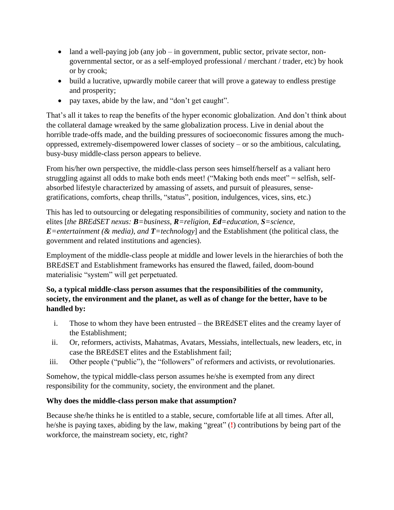- land a well-paying job (any job in government, public sector, private sector, nongovernmental sector, or as a self-employed professional / merchant / trader, etc) by hook or by crook;
- build a lucrative, upwardly mobile career that will prove a gateway to endless prestige and prosperity;
- pay taxes, abide by the law, and "don't get caught".

That's all it takes to reap the benefits of the hyper economic globalization. And don't think about the collateral damage wreaked by the same globalization process. Live in denial about the horrible trade-offs made, and the building pressures of socioeconomic fissures among the muchoppressed, extremely-disempowered lower classes of society – or so the ambitious, calculating, busy-busy middle-class person appears to believe.

From his/her own perspective, the middle-class person sees himself/herself as a valiant hero struggling against all odds to make both ends meet! ("Making both ends meet" = selfish, selfabsorbed lifestyle characterized by amassing of assets, and pursuit of pleasures, sensegratifications, comforts, cheap thrills, "status", position, indulgences, vices, sins, etc.)

This has led to outsourcing or delegating responsibilities of community, society and nation to the elites [*the BREdSET nexus: B=business, R=religion, Ed=education, S=science, E*=entertainment ( $\&$  media), and *T*=technology] and the Establishment (the political class, the government and related institutions and agencies).

Employment of the middle-class people at middle and lower levels in the hierarchies of both the BREdSET and Establishment frameworks has ensured the flawed, failed, doom-bound materialisic "system" will get perpetuated.

# **So, a typical middle-class person assumes that the responsibilities of the community, society, the environment and the planet, as well as of change for the better, have to be handled by:**

- i. Those to whom they have been entrusted the BREdSET elites and the creamy layer of the Establishment;
- ii. Or, reformers, activists, Mahatmas, Avatars, Messiahs, intellectuals, new leaders, etc, in case the BREdSET elites and the Establishment fail;
- iii. Other people ("public"), the "followers" of reformers and activists, or revolutionaries.

Somehow, the typical middle-class person assumes he/she is exempted from any direct responsibility for the community, society, the environment and the planet.

# **Why does the middle-class person make that assumption?**

Because she/he thinks he is entitled to a stable, secure, comfortable life at all times. After all, he/she is paying taxes, abiding by the law, making "great" (**!**) contributions by being part of the workforce, the mainstream society, etc, right?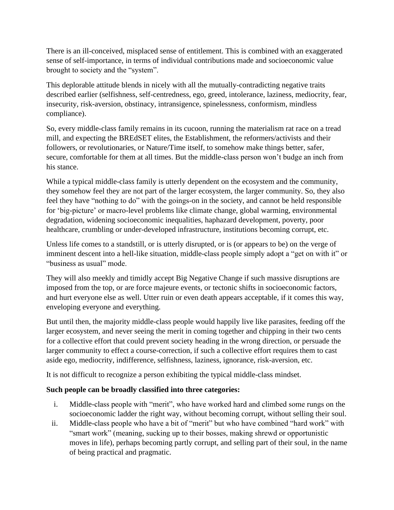There is an ill-conceived, misplaced sense of entitlement. This is combined with an exaggerated sense of self-importance, in terms of individual contributions made and socioeconomic value brought to society and the "system".

This deplorable attitude blends in nicely with all the mutually-contradicting negative traits described earlier (selfishness, self-centredness, ego, greed, intolerance, laziness, mediocrity, fear, insecurity, risk-aversion, obstinacy, intransigence, spinelessness, conformism, mindless compliance).

So, every middle-class family remains in its cucoon, running the materialism rat race on a tread mill, and expecting the BREdSET elites, the Establishment, the reformers/activists and their followers, or revolutionaries, or Nature/Time itself, to somehow make things better, safer, secure, comfortable for them at all times. But the middle-class person won't budge an inch from his stance.

While a typical middle-class family is utterly dependent on the ecosystem and the community, they somehow feel they are not part of the larger ecosystem, the larger community. So, they also feel they have "nothing to do" with the goings-on in the society, and cannot be held responsible for 'big-picture' or macro-level problems like climate change, global warming, environmental degradation, widening socioeconomic inequalities, haphazard development, poverty, poor healthcare, crumbling or under-developed infrastructure, institutions becoming corrupt, etc.

Unless life comes to a standstill, or is utterly disrupted, or is (or appears to be) on the verge of imminent descent into a hell-like situation, middle-class people simply adopt a "get on with it" or "business as usual" mode.

They will also meekly and timidly accept Big Negative Change if such massive disruptions are imposed from the top, or are force majeure events, or tectonic shifts in socioeconomic factors, and hurt everyone else as well. Utter ruin or even death appears acceptable, if it comes this way, enveloping everyone and everything.

But until then, the majority middle-class people would happily live like parasites, feeding off the larger ecosystem, and never seeing the merit in coming together and chipping in their two cents for a collective effort that could prevent society heading in the wrong direction, or persuade the larger community to effect a course-correction, if such a collective effort requires them to cast aside ego, mediocrity, indifference, selfishness, laziness, ignorance, risk-aversion, etc.

It is not difficult to recognize a person exhibiting the typical middle-class mindset.

## **Such people can be broadly classified into three categories:**

- i. Middle-class people with "merit", who have worked hard and climbed some rungs on the socioeconomic ladder the right way, without becoming corrupt, without selling their soul.
- ii. Middle-class people who have a bit of "merit" but who have combined "hard work" with "smart work" (meaning, sucking up to their bosses, making shrewd or opportunistic moves in life), perhaps becoming partly corrupt, and selling part of their soul, in the name of being practical and pragmatic.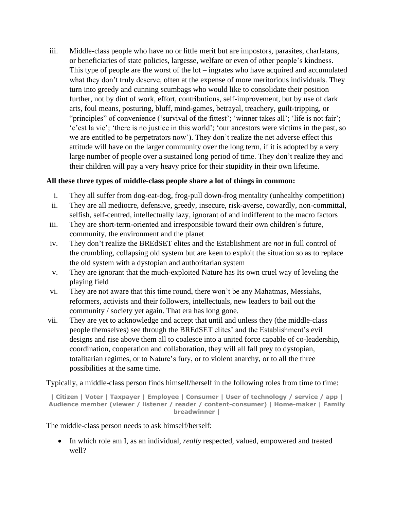iii. Middle-class people who have no or little merit but are impostors, parasites, charlatans, or beneficiaries of state policies, largesse, welfare or even of other people's kindness. This type of people are the worst of the lot – ingrates who have acquired and accumulated what they don't truly deserve, often at the expense of more meritorious individuals. They turn into greedy and cunning scumbags who would like to consolidate their position further, not by dint of work, effort, contributions, self-improvement, but by use of dark arts, foul means, posturing, bluff, mind-games, betrayal, treachery, guilt-tripping, or "principles" of convenience ('survival of the fittest'; 'winner takes all'; 'life is not fair'; 'c'est la vie'; 'there is no justice in this world'; 'our ancestors were victims in the past, so we are entitled to be perpetrators now'). They don't realize the net adverse effect this attitude will have on the larger community over the long term, if it is adopted by a very large number of people over a sustained long period of time. They don't realize they and their children will pay a very heavy price for their stupidity in their own lifetime.

#### **All these three types of middle-class people share a lot of things in common:**

- i. They all suffer from dog-eat-dog, frog-pull down-frog mentality (unhealthy competition)
- ii. They are all mediocre, defensive, greedy, insecure, risk-averse, cowardly, non-committal, selfish, self-centred, intellectually lazy, ignorant of and indifferent to the macro factors
- iii. They are short-term-oriented and irresponsible toward their own children's future, community, the environment and the planet
- iv. They don't realize the BREdSET elites and the Establishment are *not* in full control of the crumbling, collapsing old system but are keen to exploit the situation so as to replace the old system with a dystopian and authoritarian system
- v. They are ignorant that the much-exploited Nature has Its own cruel way of leveling the playing field
- vi. They are not aware that this time round, there won't be any Mahatmas, Messiahs, reformers, activists and their followers, intellectuals, new leaders to bail out the community / society yet again. That era has long gone.
- vii. They are yet to acknowledge and accept that until and unless they (the middle-class people themselves) see through the BREdSET elites' and the Establishment's evil designs and rise above them all to coalesce into a united force capable of co-leadership, coordination, cooperation and collaboration, they will all fall prey to dystopian, totalitarian regimes, or to Nature's fury, or to violent anarchy, or to all the three possibilities at the same time.

Typically, a middle-class person finds himself/herself in the following roles from time to time:

**| Citizen | Voter | Taxpayer | Employee | Consumer | User of technology / service / app | Audience member (viewer / listener / reader / content-consumer) | Home-maker | Family breadwinner |**

The middle-class person needs to ask himself/herself:

• In which role am I, as an individual, *really* respected, valued, empowered and treated well?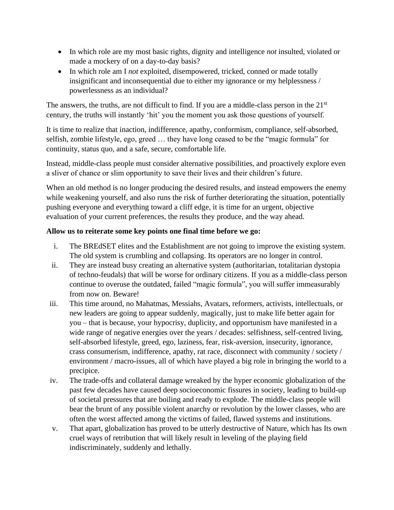- In which role are my most basic rights, dignity and intelligence *not* insulted, violated or made a mockery of on a day-to-day basis?
- In which role am I *not* exploited, disempowered, tricked, conned or made totally insignificant and inconsequential due to either my ignorance or my helplessness / powerlessness as an individual?

The answers, the truths, are not difficult to find. If you are a middle-class person in the  $21<sup>st</sup>$ century, the truths will instantly 'hit' you the moment you ask those questions of yourself.

It is time to realize that inaction, indifference, apathy, conformism, compliance, self-absorbed, selfish, zombie lifestyle, ego, greed … they have long ceased to be the "magic formula" for continuity, status quo, and a safe, secure, comfortable life.

Instead, middle-class people must consider alternative possibilities, and proactively explore even a sliver of chance or slim opportunity to save their lives and their children's future.

When an old method is no longer producing the desired results, and instead empowers the enemy while weakening yourself, and also runs the risk of further deteriorating the situation, potentially pushing everyone and everything toward a cliff edge, it is time for an urgent, objective evaluation of your current preferences, the results they produce, and the way ahead.

## **Allow us to reiterate some key points one final time before we go:**

- i. The BREdSET elites and the Establishment are not going to improve the existing system. The old system is crumbling and collapsing. Its operators are no longer in control.
- ii. They are instead busy creating an alternative system (authoritarian, totalitarian dystopia of techno-feudals) that will be worse for ordinary citizens. If you as a middle-class person continue to overuse the outdated, failed "magic formula", you will suffer immeasurably from now on. Beware!
- iii. This time around, no Mahatmas, Messiahs, Avatars, reformers, activists, intellectuals, or new leaders are going to appear suddenly, magically, just to make life better again for you – that is because, your hypocrisy, duplicity, and opportunism have manifested in a wide range of negative energies over the years / decades: selfishness, self-centred living, self-absorbed lifestyle, greed, ego, laziness, fear, risk-aversion, insecurity, ignorance, crass consumerism, indifference, apathy, rat race, disconnect with community / society / environment / macro-issues, all of which have played a big role in bringing the world to a precipice.
- iv. The trade-offs and collateral damage wreaked by the hyper economic globalization of the past few decades have caused deep socioeconomic fissures in society, leading to build-up of societal pressures that are boiling and ready to explode. The middle-class people will bear the brunt of any possible violent anarchy or revolution by the lower classes, who are often the worst affected among the victims of failed, flawed systems and institutions.
- v. That apart, globalization has proved to be utterly destructive of Nature, which has Its own cruel ways of retribution that will likely result in leveling of the playing field indiscriminately, suddenly and lethally.